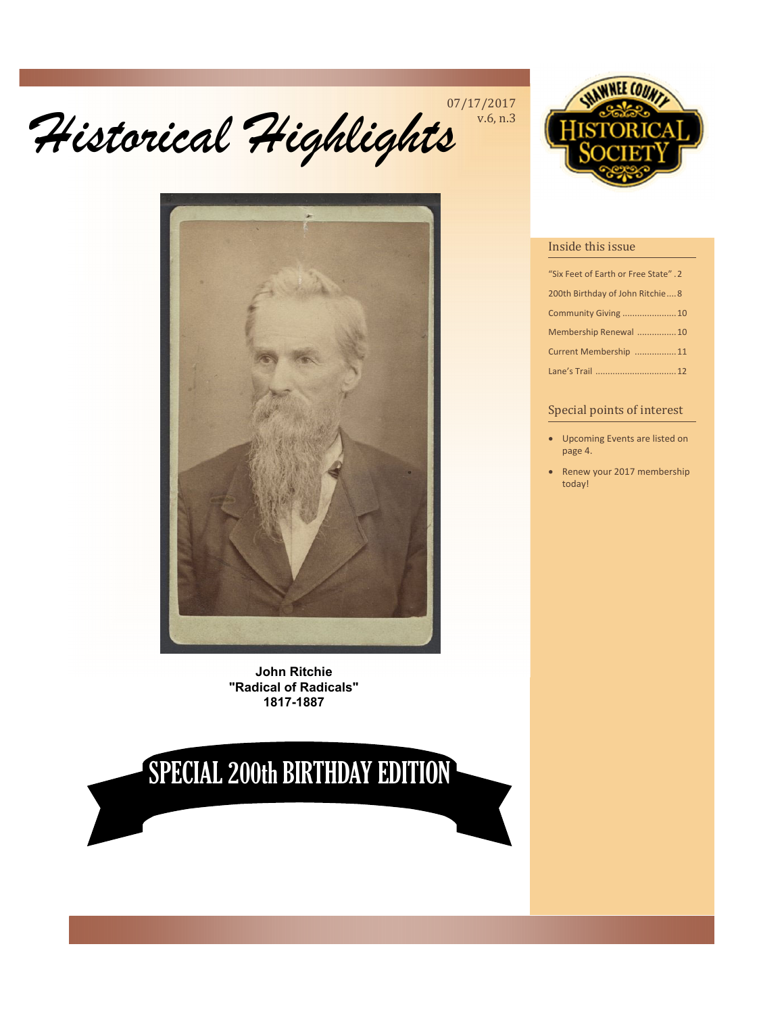# *Historical Highlights*  07/17/2017



**John Ritchie "Radical of Radicals" 1817-1887** 

# SPECIAL 200th BIRTHDAY EDITION



#### Inside this issue

v.6, n.3

| "Six Feet of Earth or Free State". 2 |  |
|--------------------------------------|--|
| 200th Birthday of John Ritchie8      |  |
| Community Giving 10                  |  |
| Membership Renewal  10               |  |
| Current Membership 11                |  |
| Lane's Trail  12                     |  |

#### Special points of interest

- Upcoming Events are listed on page 4.
- Renew your 2017 membership today!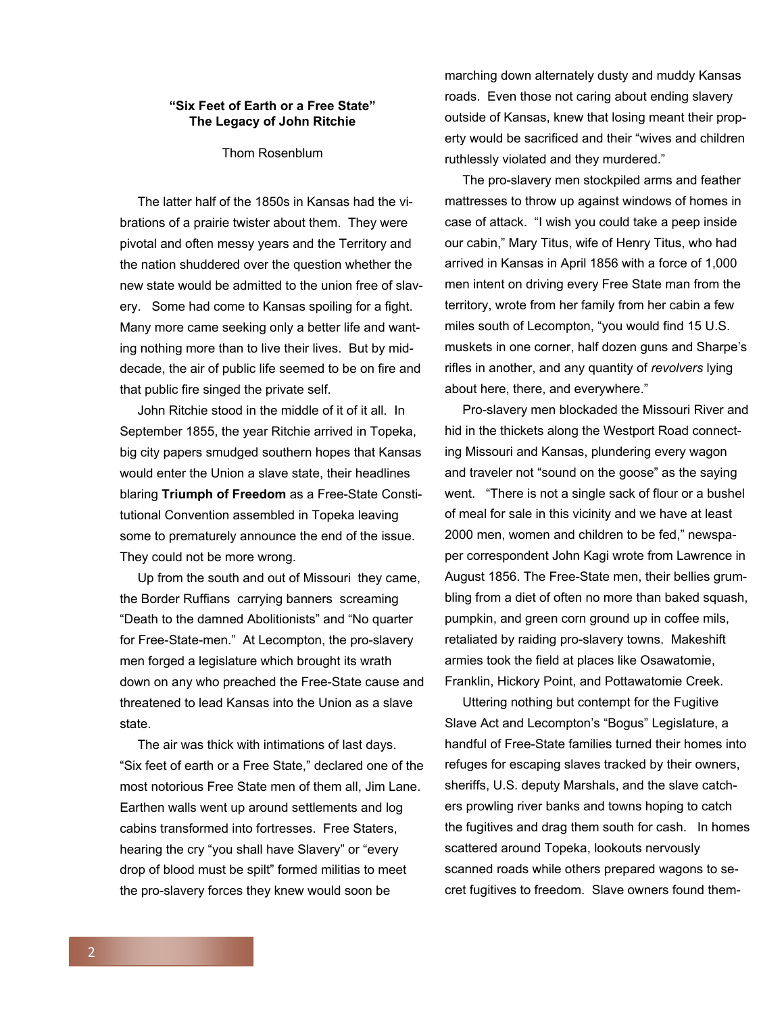#### **"Six Feet of Earth or a Free State" The Legacy of John Ritchie**

Thom Rosenblum

 The latter half of the 1850s in Kansas had the vibrations of a prairie twister about them. They were pivotal and often messy years and the Territory and the nation shuddered over the question whether the new state would be admitted to the union free of slavery. Some had come to Kansas spoiling for a fight. Many more came seeking only a better life and wanting nothing more than to live their lives. But by middecade, the air of public life seemed to be on fire and that public fire singed the private self.

 John Ritchie stood in the middle of it of it all. In September 1855, the year Ritchie arrived in Topeka, big city papers smudged southern hopes that Kansas would enter the Union a slave state, their headlines blaring **Triumph of Freedom** as a Free-State Constitutional Convention assembled in Topeka leaving some to prematurely announce the end of the issue. They could not be more wrong.

 Up from the south and out of Missouri they came, the Border Ruffians carrying banners screaming "Death to the damned Abolitionists" and "No quarter for Free-State-men." At Lecompton, the pro-slavery men forged a legislature which brought its wrath down on any who preached the Free-State cause and threatened to lead Kansas into the Union as a slave state.

 The air was thick with intimations of last days. "Six feet of earth or a Free State," declared one of the most notorious Free State men of them all, Jim Lane. Earthen walls went up around settlements and log cabins transformed into fortresses. Free Staters, hearing the cry "you shall have Slavery" or "every drop of blood must be spilt" formed militias to meet the pro-slavery forces they knew would soon be

marching down alternately dusty and muddy Kansas roads. Even those not caring about ending slavery outside of Kansas, knew that losing meant their property would be sacrificed and their "wives and children ruthlessly violated and they murdered."

 The pro-slavery men stockpiled arms and feather mattresses to throw up against windows of homes in case of attack. "I wish you could take a peep inside our cabin," Mary Titus, wife of Henry Titus, who had arrived in Kansas in April 1856 with a force of 1,000 men intent on driving every Free State man from the territory, wrote from her family from her cabin a few miles south of Lecompton, "you would find 15 U.S. muskets in one corner, half dozen guns and Sharpe's rifles in another, and any quantity of *revolvers* lying about here, there, and everywhere."

 Pro-slavery men blockaded the Missouri River and hid in the thickets along the Westport Road connecting Missouri and Kansas, plundering every wagon and traveler not "sound on the goose" as the saying went. "There is not a single sack of flour or a bushel of meal for sale in this vicinity and we have at least 2000 men, women and children to be fed," newspaper correspondent John Kagi wrote from Lawrence in August 1856. The Free-State men, their bellies grumbling from a diet of often no more than baked squash, pumpkin, and green corn ground up in coffee mils, retaliated by raiding pro-slavery towns. Makeshift armies took the field at places like Osawatomie, Franklin, Hickory Point, and Pottawatomie Creek.

 Uttering nothing but contempt for the Fugitive Slave Act and Lecompton's "Bogus" Legislature, a handful of Free-State families turned their homes into refuges for escaping slaves tracked by their owners, sheriffs, U.S. deputy Marshals, and the slave catchers prowling river banks and towns hoping to catch the fugitives and drag them south for cash. In homes scattered around Topeka, lookouts nervously scanned roads while others prepared wagons to secret fugitives to freedom. Slave owners found them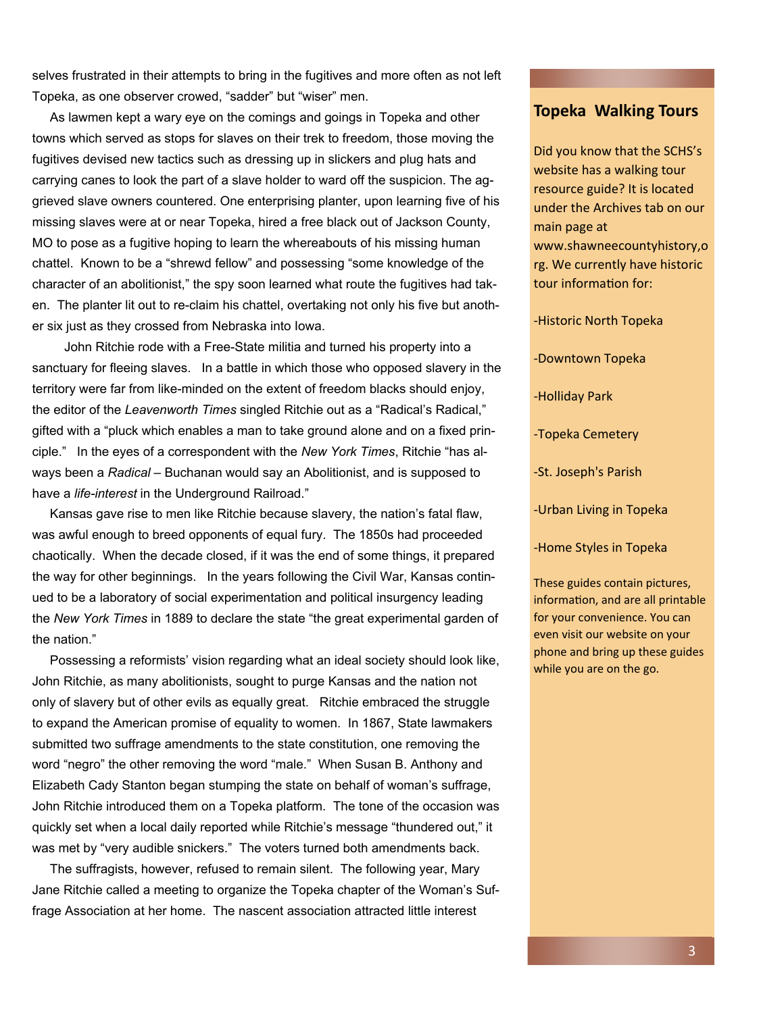selves frustrated in their attempts to bring in the fugitives and more often as not left Topeka, as one observer crowed, "sadder" but "wiser" men.

 As lawmen kept a wary eye on the comings and goings in Topeka and other towns which served as stops for slaves on their trek to freedom, those moving the fugitives devised new tactics such as dressing up in slickers and plug hats and carrying canes to look the part of a slave holder to ward off the suspicion. The aggrieved slave owners countered. One enterprising planter, upon learning five of his missing slaves were at or near Topeka, hired a free black out of Jackson County, MO to pose as a fugitive hoping to learn the whereabouts of his missing human chattel. Known to be a "shrewd fellow" and possessing "some knowledge of the character of an abolitionist," the spy soon learned what route the fugitives had taken. The planter lit out to re-claim his chattel, overtaking not only his five but another six just as they crossed from Nebraska into Iowa.

 John Ritchie rode with a Free-State militia and turned his property into a sanctuary for fleeing slaves. In a battle in which those who opposed slavery in the territory were far from like-minded on the extent of freedom blacks should enjoy, the editor of the *Leavenworth Times* singled Ritchie out as a "Radical's Radical," gifted with a "pluck which enables a man to take ground alone and on a fixed principle." In the eyes of a correspondent with the *New York Times*, Ritchie "has always been a *Radical* – Buchanan would say an Abolitionist, and is supposed to have a *life-interest* in the Underground Railroad."

 Kansas gave rise to men like Ritchie because slavery, the nation's fatal flaw, was awful enough to breed opponents of equal fury. The 1850s had proceeded chaotically. When the decade closed, if it was the end of some things, it prepared the way for other beginnings. In the years following the Civil War, Kansas continued to be a laboratory of social experimentation and political insurgency leading the *New York Times* in 1889 to declare the state "the great experimental garden of the nation."

 Possessing a reformists' vision regarding what an ideal society should look like, John Ritchie, as many abolitionists, sought to purge Kansas and the nation not only of slavery but of other evils as equally great. Ritchie embraced the struggle to expand the American promise of equality to women. In 1867, State lawmakers submitted two suffrage amendments to the state constitution, one removing the word "negro" the other removing the word "male." When Susan B. Anthony and Elizabeth Cady Stanton began stumping the state on behalf of woman's suffrage, John Ritchie introduced them on a Topeka platform. The tone of the occasion was quickly set when a local daily reported while Ritchie's message "thundered out," it was met by "very audible snickers." The voters turned both amendments back.

 The suffragists, however, refused to remain silent. The following year, Mary Jane Ritchie called a meeting to organize the Topeka chapter of the Woman's Suffrage Association at her home. The nascent association attracted little interest

#### **Topeka Walking Tours**

Did you know that the SCHS's website has a walking tour resource guide? It is located under the Archives tab on our main page at www.shawneecountyhistory,o rg. We currently have historic tour information for:

-Historic North Topeka

-Downtown Topeka

-Holliday Park

-Topeka Cemetery

-St. Joseph's Parish

-Urban Living in Topeka

-Home Styles in Topeka

These guides contain pictures, information, and are all printable for your convenience. You can even visit our website on your phone and bring up these guides while you are on the go.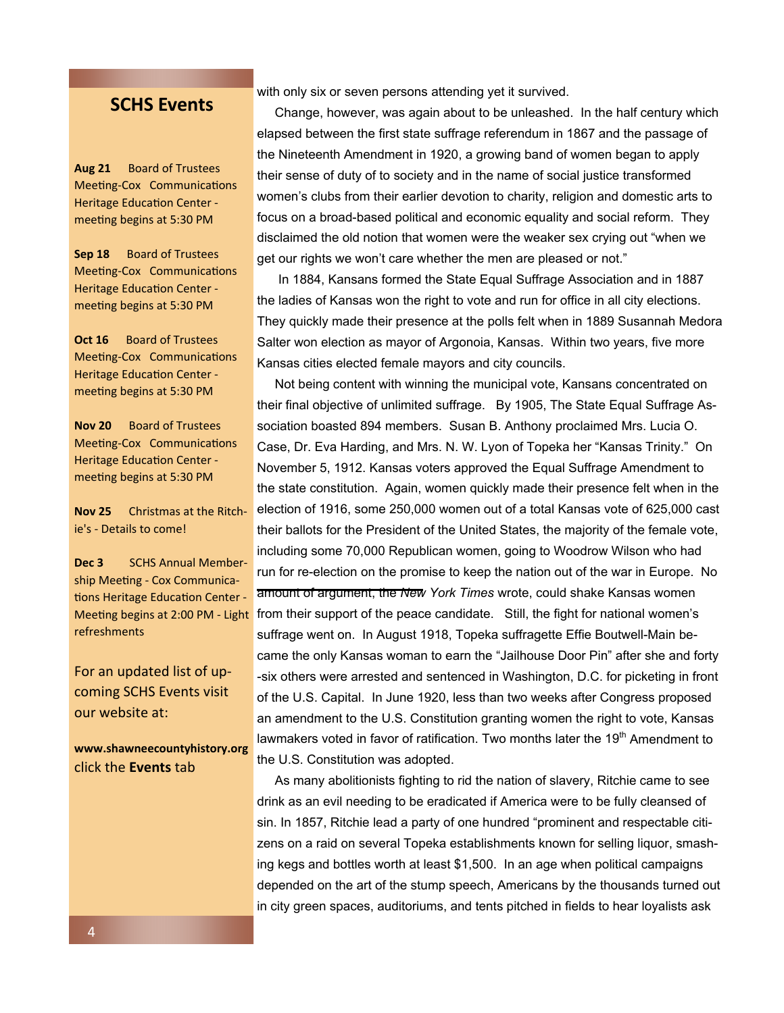### **SCHS Events**

**Aug 21** Board of Trustees Meeting-Cox Communications Heritage Education Center meeting begins at 5:30 PM

**Sep 18** Board of Trustees Meeting-Cox Communications Heritage Education Center meeting begins at 5:30 PM

**Oct 16** Board of Trustees Meeting-Cox Communications Heritage Education Center meeting begins at 5:30 PM

**Nov 20** Board of Trustees Meeting-Cox Communications Heritage Education Center meeting begins at 5:30 PM

**Nov 25** Christmas at the Ritchie's - Details to come!

**Dec 3** SCHS Annual Membership Meeting - Cox Communications Heritage Education Center -Meeting begins at 2:00 PM - Light refreshments

For an updated list of upcoming SCHS Events visit our website at:

**www.shawneecountyhistory.org**  click the **Events** tab

with only six or seven persons attending yet it survived.

 Change, however, was again about to be unleashed. In the half century which elapsed between the first state suffrage referendum in 1867 and the passage of the Nineteenth Amendment in 1920, a growing band of women began to apply their sense of duty of to society and in the name of social justice transformed women's clubs from their earlier devotion to charity, religion and domestic arts to focus on a broad-based political and economic equality and social reform. They disclaimed the old notion that women were the weaker sex crying out "when we get our rights we won't care whether the men are pleased or not."

 In 1884, Kansans formed the State Equal Suffrage Association and in 1887 the ladies of Kansas won the right to vote and run for office in all city elections. They quickly made their presence at the polls felt when in 1889 Susannah Medora Salter won election as mayor of Argonoia, Kansas. Within two years, five more Kansas cities elected female mayors and city councils.

 Not being content with winning the municipal vote, Kansans concentrated on their final objective of unlimited suffrage. By 1905, The State Equal Suffrage Association boasted 894 members. Susan B. Anthony proclaimed Mrs. Lucia O. Case, Dr. Eva Harding, and Mrs. N. W. Lyon of Topeka her "Kansas Trinity." On November 5, 1912. Kansas voters approved the Equal Suffrage Amendment to the state constitution. Again, women quickly made their presence felt when in the election of 1916, some 250,000 women out of a total Kansas vote of 625,000 cast their ballots for the President of the United States, the majority of the female vote, including some 70,000 Republican women, going to Woodrow Wilson who had run for re-election on the promise to keep the nation out of the war in Europe. No amount of argument, the *New York Times* wrote, could shake Kansas women from their support of the peace candidate. Still, the fight for national women's suffrage went on. In August 1918, Topeka suffragette Effie Boutwell-Main became the only Kansas woman to earn the "Jailhouse Door Pin" after she and forty -six others were arrested and sentenced in Washington, D.C. for picketing in front of the U.S. Capital. In June 1920, less than two weeks after Congress proposed an amendment to the U.S. Constitution granting women the right to vote, Kansas lawmakers voted in favor of ratification. Two months later the  $19<sup>th</sup>$  Amendment to the U.S. Constitution was adopted.

 As many abolitionists fighting to rid the nation of slavery, Ritchie came to see drink as an evil needing to be eradicated if America were to be fully cleansed of sin. In 1857, Ritchie lead a party of one hundred "prominent and respectable citizens on a raid on several Topeka establishments known for selling liquor, smashing kegs and bottles worth at least \$1,500. In an age when political campaigns depended on the art of the stump speech, Americans by the thousands turned out in city green spaces, auditoriums, and tents pitched in fields to hear loyalists ask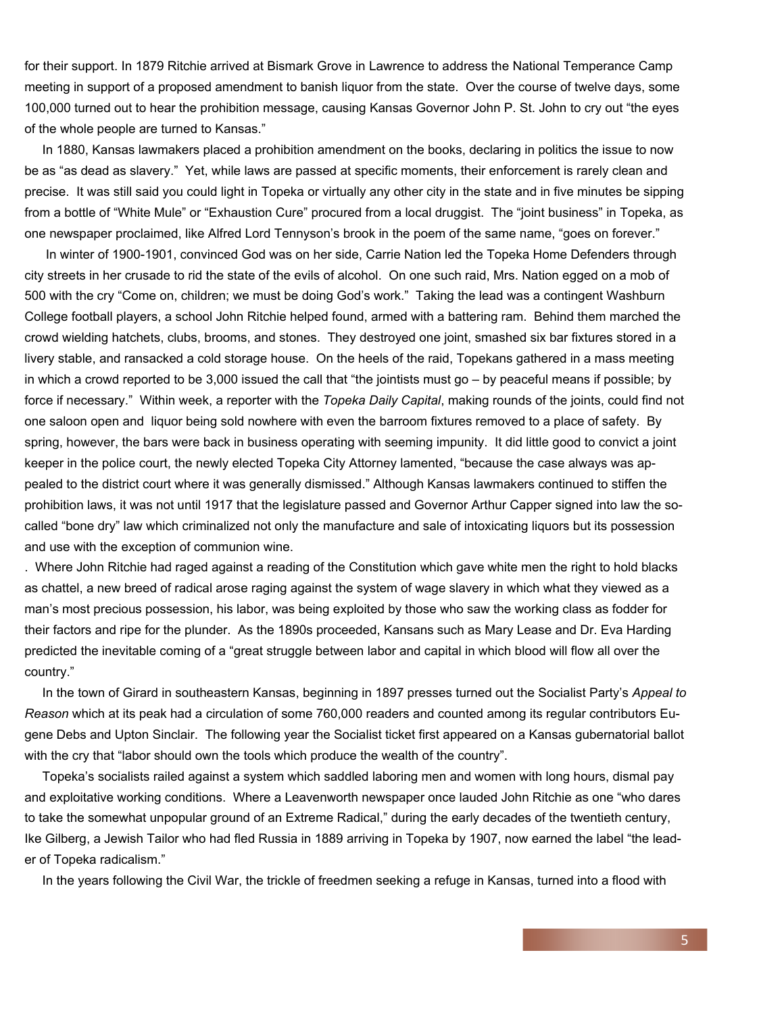for their support. In 1879 Ritchie arrived at Bismark Grove in Lawrence to address the National Temperance Camp meeting in support of a proposed amendment to banish liquor from the state. Over the course of twelve days, some 100,000 turned out to hear the prohibition message, causing Kansas Governor John P. St. John to cry out "the eyes of the whole people are turned to Kansas."

 In 1880, Kansas lawmakers placed a prohibition amendment on the books, declaring in politics the issue to now be as "as dead as slavery." Yet, while laws are passed at specific moments, their enforcement is rarely clean and precise. It was still said you could light in Topeka or virtually any other city in the state and in five minutes be sipping from a bottle of "White Mule" or "Exhaustion Cure" procured from a local druggist. The "joint business" in Topeka, as one newspaper proclaimed, like Alfred Lord Tennyson's brook in the poem of the same name, "goes on forever."

 In winter of 1900-1901, convinced God was on her side, Carrie Nation led the Topeka Home Defenders through city streets in her crusade to rid the state of the evils of alcohol. On one such raid, Mrs. Nation egged on a mob of 500 with the cry "Come on, children; we must be doing God's work." Taking the lead was a contingent Washburn College football players, a school John Ritchie helped found, armed with a battering ram. Behind them marched the crowd wielding hatchets, clubs, brooms, and stones. They destroyed one joint, smashed six bar fixtures stored in a livery stable, and ransacked a cold storage house. On the heels of the raid, Topekans gathered in a mass meeting in which a crowd reported to be 3,000 issued the call that "the jointists must go – by peaceful means if possible; by force if necessary." Within week, a reporter with the *Topeka Daily Capital*, making rounds of the joints, could find not one saloon open and liquor being sold nowhere with even the barroom fixtures removed to a place of safety. By spring, however, the bars were back in business operating with seeming impunity. It did little good to convict a joint keeper in the police court, the newly elected Topeka City Attorney lamented, "because the case always was appealed to the district court where it was generally dismissed." Although Kansas lawmakers continued to stiffen the prohibition laws, it was not until 1917 that the legislature passed and Governor Arthur Capper signed into law the socalled "bone dry" law which criminalized not only the manufacture and sale of intoxicating liquors but its possession and use with the exception of communion wine.

. Where John Ritchie had raged against a reading of the Constitution which gave white men the right to hold blacks as chattel, a new breed of radical arose raging against the system of wage slavery in which what they viewed as a man's most precious possession, his labor, was being exploited by those who saw the working class as fodder for their factors and ripe for the plunder. As the 1890s proceeded, Kansans such as Mary Lease and Dr. Eva Harding predicted the inevitable coming of a "great struggle between labor and capital in which blood will flow all over the country."

 In the town of Girard in southeastern Kansas, beginning in 1897 presses turned out the Socialist Party's *Appeal to Reason* which at its peak had a circulation of some 760,000 readers and counted among its regular contributors Eugene Debs and Upton Sinclair. The following year the Socialist ticket first appeared on a Kansas gubernatorial ballot with the cry that "labor should own the tools which produce the wealth of the country".

 Topeka's socialists railed against a system which saddled laboring men and women with long hours, dismal pay and exploitative working conditions. Where a Leavenworth newspaper once lauded John Ritchie as one "who dares to take the somewhat unpopular ground of an Extreme Radical," during the early decades of the twentieth century, Ike Gilberg, a Jewish Tailor who had fled Russia in 1889 arriving in Topeka by 1907, now earned the label "the leader of Topeka radicalism."

In the years following the Civil War, the trickle of freedmen seeking a refuge in Kansas, turned into a flood with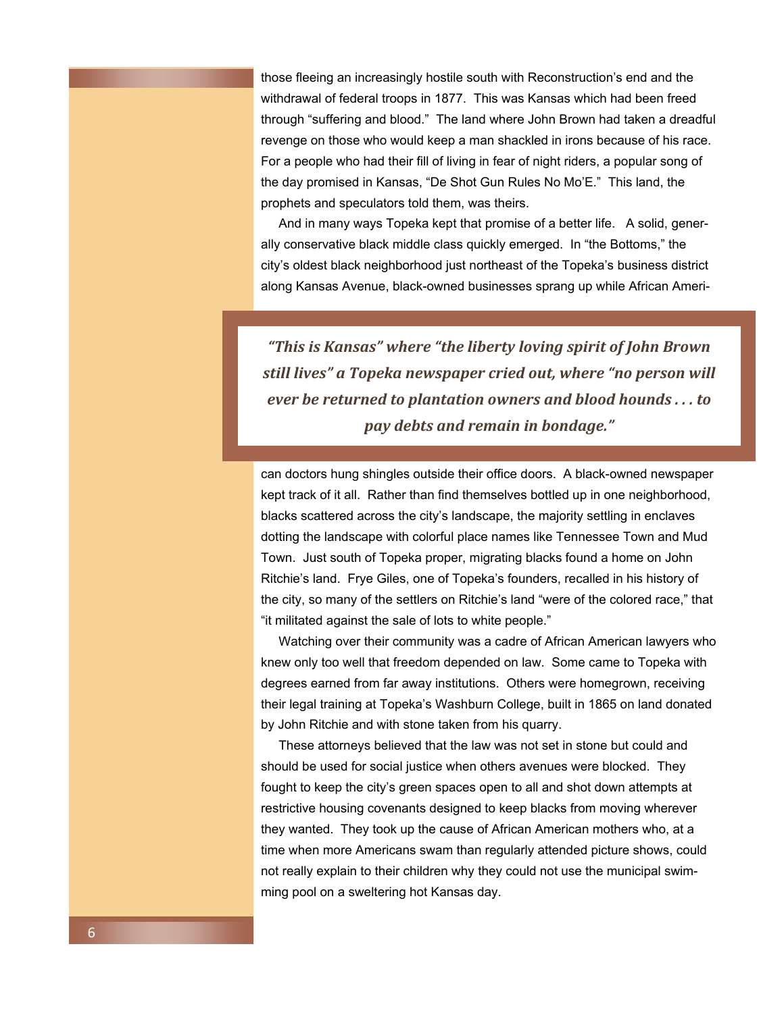those fleeing an increasingly hostile south with Reconstruction's end and the withdrawal of federal troops in 1877. This was Kansas which had been freed through "suffering and blood." The land where John Brown had taken a dreadful revenge on those who would keep a man shackled in irons because of his race. For a people who had their fill of living in fear of night riders, a popular song of the day promised in Kansas, "De Shot Gun Rules No Mo'E." This land, the prophets and speculators told them, was theirs.

 And in many ways Topeka kept that promise of a better life. A solid, generally conservative black middle class quickly emerged. In "the Bottoms," the city's oldest black neighborhood just northeast of the Topeka's business district along Kansas Avenue, black-owned businesses sprang up while African Ameri-

*"This is Kansas" where "the liberty loving spirit of John Brown still lives" a Topeka newspaper cried out, where "no person will ever be returned to plantation owners and blood hounds . . . to pay debts and remain in bondage."* 

can doctors hung shingles outside their office doors. A black-owned newspaper kept track of it all. Rather than find themselves bottled up in one neighborhood, blacks scattered across the city's landscape, the majority settling in enclaves dotting the landscape with colorful place names like Tennessee Town and Mud Town. Just south of Topeka proper, migrating blacks found a home on John Ritchie's land. Frye Giles, one of Topeka's founders, recalled in his history of the city, so many of the settlers on Ritchie's land "were of the colored race," that "it militated against the sale of lots to white people."

 Watching over their community was a cadre of African American lawyers who knew only too well that freedom depended on law. Some came to Topeka with degrees earned from far away institutions. Others were homegrown, receiving their legal training at Topeka's Washburn College, built in 1865 on land donated by John Ritchie and with stone taken from his quarry.

 These attorneys believed that the law was not set in stone but could and should be used for social justice when others avenues were blocked. They fought to keep the city's green spaces open to all and shot down attempts at restrictive housing covenants designed to keep blacks from moving wherever they wanted. They took up the cause of African American mothers who, at a time when more Americans swam than regularly attended picture shows, could not really explain to their children why they could not use the municipal swimming pool on a sweltering hot Kansas day.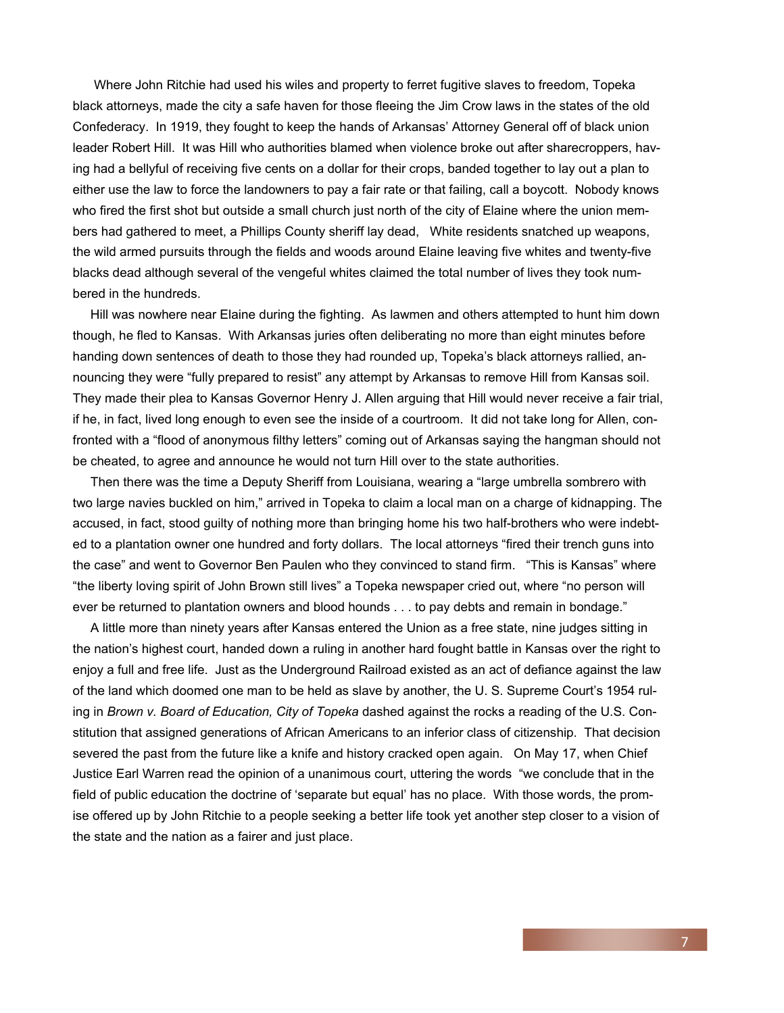Where John Ritchie had used his wiles and property to ferret fugitive slaves to freedom, Topeka black attorneys, made the city a safe haven for those fleeing the Jim Crow laws in the states of the old Confederacy. In 1919, they fought to keep the hands of Arkansas' Attorney General off of black union leader Robert Hill. It was Hill who authorities blamed when violence broke out after sharecroppers, having had a bellyful of receiving five cents on a dollar for their crops, banded together to lay out a plan to either use the law to force the landowners to pay a fair rate or that failing, call a boycott. Nobody knows who fired the first shot but outside a small church just north of the city of Elaine where the union members had gathered to meet, a Phillips County sheriff lay dead, White residents snatched up weapons, the wild armed pursuits through the fields and woods around Elaine leaving five whites and twenty-five blacks dead although several of the vengeful whites claimed the total number of lives they took numbered in the hundreds.

 Hill was nowhere near Elaine during the fighting. As lawmen and others attempted to hunt him down though, he fled to Kansas. With Arkansas juries often deliberating no more than eight minutes before handing down sentences of death to those they had rounded up, Topeka's black attorneys rallied, announcing they were "fully prepared to resist" any attempt by Arkansas to remove Hill from Kansas soil. They made their plea to Kansas Governor Henry J. Allen arguing that Hill would never receive a fair trial, if he, in fact, lived long enough to even see the inside of a courtroom. It did not take long for Allen, confronted with a "flood of anonymous filthy letters" coming out of Arkansas saying the hangman should not be cheated, to agree and announce he would not turn Hill over to the state authorities.

 Then there was the time a Deputy Sheriff from Louisiana, wearing a "large umbrella sombrero with two large navies buckled on him," arrived in Topeka to claim a local man on a charge of kidnapping. The accused, in fact, stood guilty of nothing more than bringing home his two half-brothers who were indebted to a plantation owner one hundred and forty dollars. The local attorneys "fired their trench guns into the case" and went to Governor Ben Paulen who they convinced to stand firm. "This is Kansas" where "the liberty loving spirit of John Brown still lives" a Topeka newspaper cried out, where "no person will ever be returned to plantation owners and blood hounds . . . to pay debts and remain in bondage."

 A little more than ninety years after Kansas entered the Union as a free state, nine judges sitting in the nation's highest court, handed down a ruling in another hard fought battle in Kansas over the right to enjoy a full and free life. Just as the Underground Railroad existed as an act of defiance against the law of the land which doomed one man to be held as slave by another, the U. S. Supreme Court's 1954 ruling in *Brown v. Board of Education, City of Topeka* dashed against the rocks a reading of the U.S. Constitution that assigned generations of African Americans to an inferior class of citizenship. That decision severed the past from the future like a knife and history cracked open again. On May 17, when Chief Justice Earl Warren read the opinion of a unanimous court, uttering the words "we conclude that in the field of public education the doctrine of 'separate but equal' has no place. With those words, the promise offered up by John Ritchie to a people seeking a better life took yet another step closer to a vision of the state and the nation as a fairer and just place.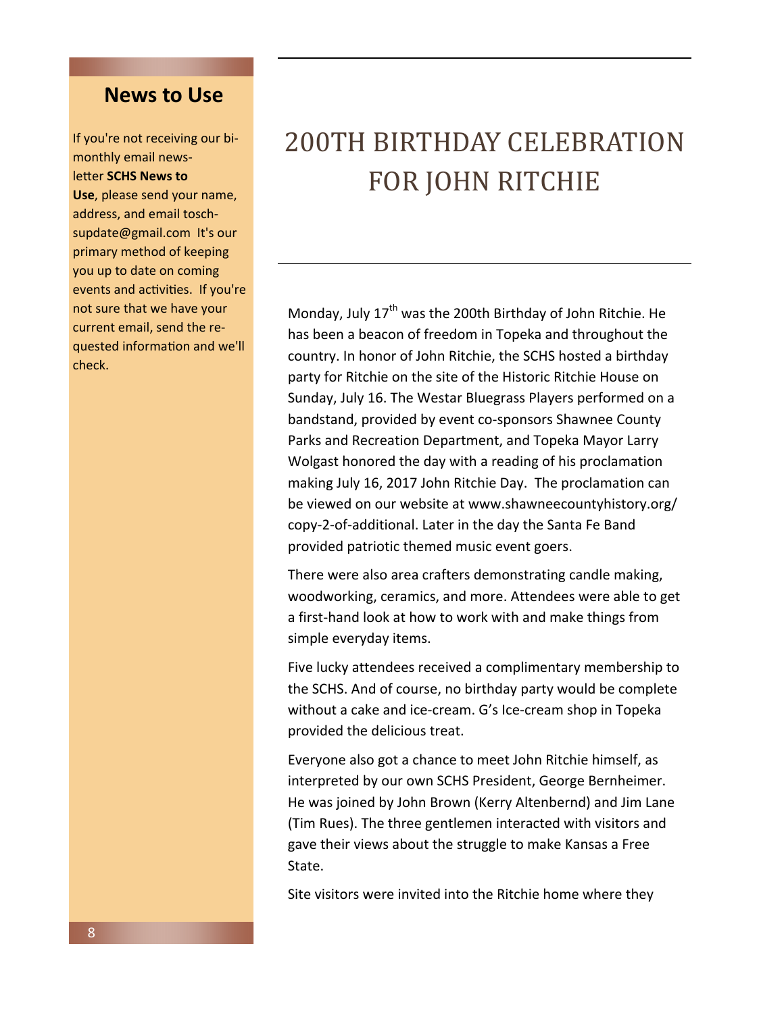# **News to Use**

If you're not receiving our bimonthly email newsletter **SCHS News to** 

**Use**, please send your name, address, and email toschsupdate@gmail.com It's our primary method of keeping you up to date on coming events and activities. If you're not sure that we have your current email, send the requested information and we'll check.

# 200TH BIRTHDAY CELEBRATION FOR JOHN RITCHIE

Monday, July  $17<sup>th</sup>$  was the 200th Birthday of John Ritchie. He has been a beacon of freedom in Topeka and throughout the country. In honor of John Ritchie, the SCHS hosted a birthday party for Ritchie on the site of the Historic Ritchie House on Sunday, July 16. The Westar Bluegrass Players performed on a bandstand, provided by event co-sponsors Shawnee County Parks and Recreation Department, and Topeka Mayor Larry Wolgast honored the day with a reading of his proclamation making July 16, 2017 John Ritchie Day. The proclamation can be viewed on our website at www.shawneecountyhistory.org/ copy-2-of-additional. Later in the day the Santa Fe Band provided patriotic themed music event goers.

There were also area crafters demonstrating candle making, woodworking, ceramics, and more. Attendees were able to get a first-hand look at how to work with and make things from simple everyday items.

Five lucky attendees received a complimentary membership to the SCHS. And of course, no birthday party would be complete without a cake and ice-cream. G's Ice-cream shop in Topeka provided the delicious treat.

Everyone also got a chance to meet John Ritchie himself, as interpreted by our own SCHS President, George Bernheimer. He was joined by John Brown (Kerry Altenbernd) and Jim Lane (Tim Rues). The three gentlemen interacted with visitors and gave their views about the struggle to make Kansas a Free State.

Site visitors were invited into the Ritchie home where they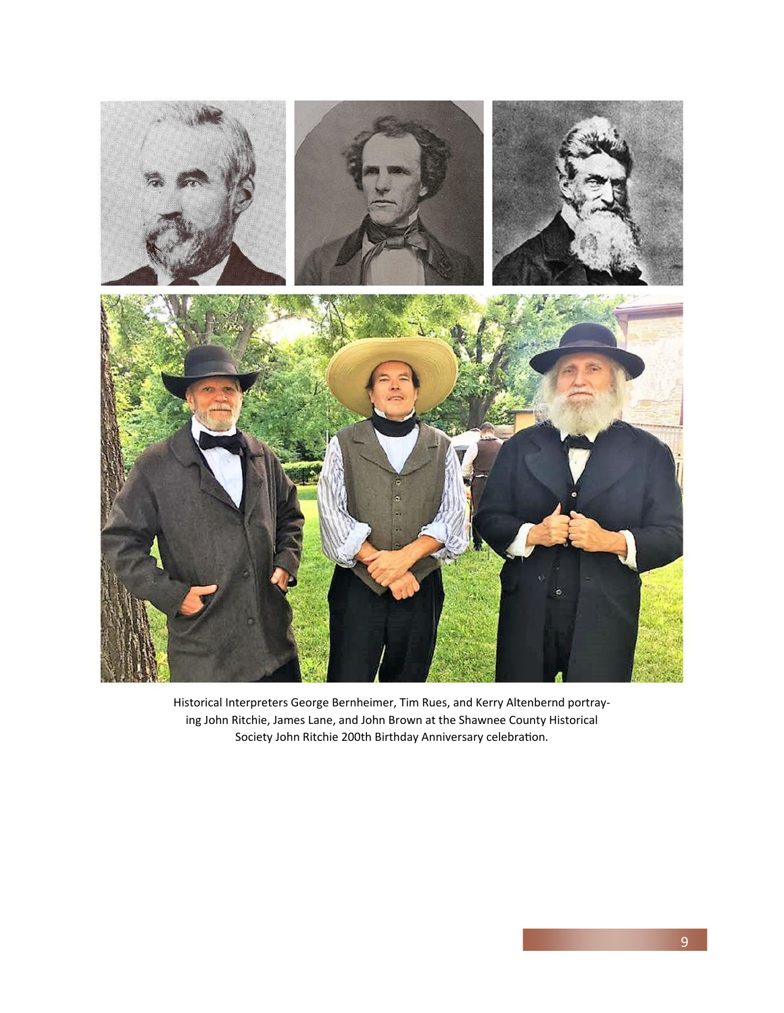

Historical Interpreters George Bernheimer, Tim Rues, and Kerry Altenbernd portraying John Ritchie, James Lane, and John Brown at the Shawnee County Historical Society John Ritchie 200th Birthday Anniversary celebration.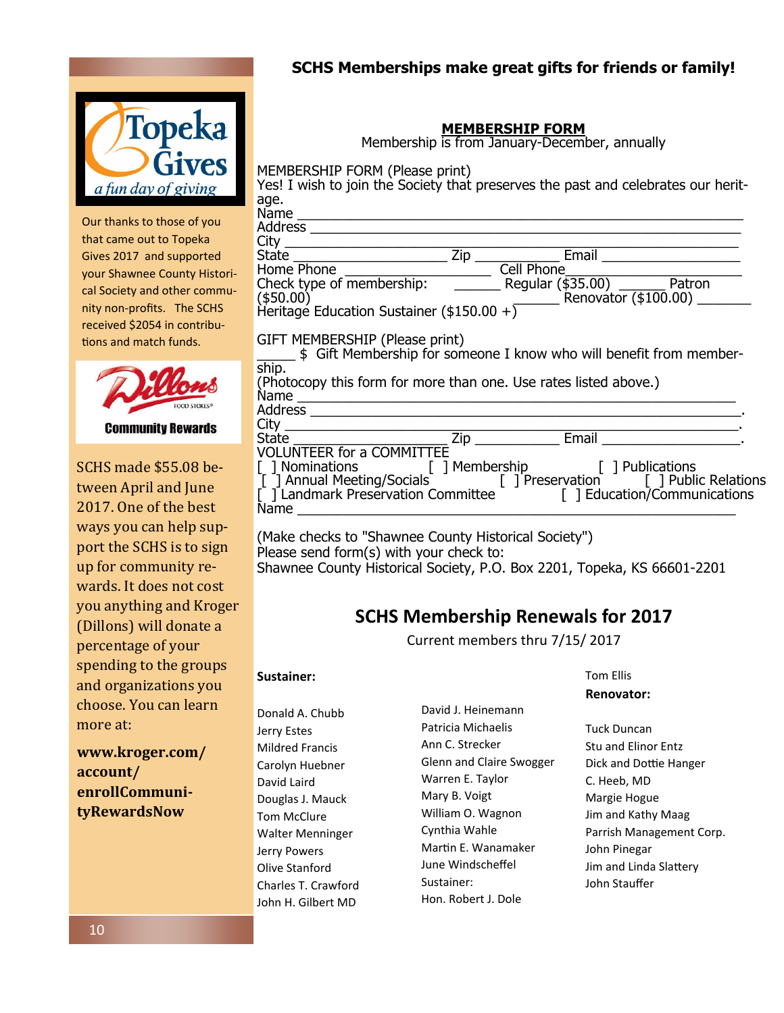

Our thanks to those of you that came out to Topeka Gives 2017 and supported your Shawnee County Historical Society and other community non-profits. The SCHS received \$2054 in contributions and match funds.



SCHS made \$55.08 between April and June 2017. One of the best ways you can help support the SCHS is to sign up for community rewards. It does not cost you anything and Kroger (Dillons) will donate a percentage of your spending to the groups and organizations you choose. You can learn

**www.kroger.com/ account/ enrollCommunityRewardsNow**

more at:

### **SCHS Memberships make great gifts for friends or family!**

### **MEMBERSHIP FORM**

Membership is from January-December, annually

MEMBERSHIP FORM (Please print)

| Yes! I wish to join the Society that preserves the past and celebrates our herit-                     |     |                   |                                |  |  |
|-------------------------------------------------------------------------------------------------------|-----|-------------------|--------------------------------|--|--|
| age.                                                                                                  |     |                   |                                |  |  |
| Name                                                                                                  |     |                   |                                |  |  |
| <b>Address</b>                                                                                        |     |                   |                                |  |  |
| City                                                                                                  |     |                   |                                |  |  |
| State                                                                                                 | Zip | Email             |                                |  |  |
| Home Phone                                                                                            |     | Cell Phone        |                                |  |  |
| Check type of membership:<br>$($ \$50.00) $)$                                                         |     | Regular (\$35.00) | Patron<br>Renovator (\$100.00) |  |  |
| Heritage Education Sustainer (\$150.00 +)                                                             |     |                   |                                |  |  |
| GIFT MEMBERSHIP (Please print)<br>\$ Gift Membership for someone I know who will benefit from member- |     |                   |                                |  |  |
| ship.                                                                                                 |     |                   |                                |  |  |
| (Photocopy this form for more than one. Use rates listed above.)                                      |     |                   |                                |  |  |

| (Photocopy this form for more than one. Use rates listed above.)  |     |                                               |  |  |  |
|-------------------------------------------------------------------|-----|-----------------------------------------------|--|--|--|
| Name                                                              |     |                                               |  |  |  |
| Address                                                           |     |                                               |  |  |  |
|                                                                   |     |                                               |  |  |  |
| State ________________                                            | Zip | Email <b>Exercise Service Service Service</b> |  |  |  |
| <b>VOLUNTEER for a COMMITTEE</b>                                  |     |                                               |  |  |  |
| [] Nominations [] Membership [] Publications                      |     |                                               |  |  |  |
| T T Annual Meeting/Socials T T T T T T T T T T T Public Relations |     |                                               |  |  |  |
| [ ] Landmark Preservation Committee                               |     | [] Education/Communications                   |  |  |  |

(Make checks to "Shawnee County Historical Society") Please send form(s) with your check to: Shawnee County Historical Society, P.O. Box 2201, Topeka, KS 66601-2201

Name \_\_\_\_\_\_\_\_\_\_\_\_\_\_\_\_\_\_\_\_\_\_\_\_\_\_\_\_\_\_\_\_\_\_\_\_\_\_\_\_\_\_\_\_\_\_\_\_\_\_\_\_\_\_\_\_\_

# **SCHS Membership Renewals for 2017**

Current members thru 7/15/ 2017

#### **Sustainer:**

Donald A. Chubb Jerry Estes Mildred Francis Carolyn Huebner David Laird Douglas J. Mauck Tom McClure Walter Menninger Jerry Powers Olive Stanford Charles T. Crawford John H. Gilbert MD

David J. Heinemann Patricia Michaelis Ann C. Strecker Glenn and Claire Swogger Warren E. Taylor Mary B. Voigt William O. Wagnon Cynthia Wahle Martin E. Wanamaker June Windscheffel Sustainer: Hon. Robert J. Dole

#### Tom Ellis **Renovator:**

Tuck Duncan Stu and Elinor Entz Dick and Dottie Hanger C. Heeb, MD Margie Hogue Jim and Kathy Maag Parrish Management Corp. John Pinegar Jim and Linda Slattery John Stauffer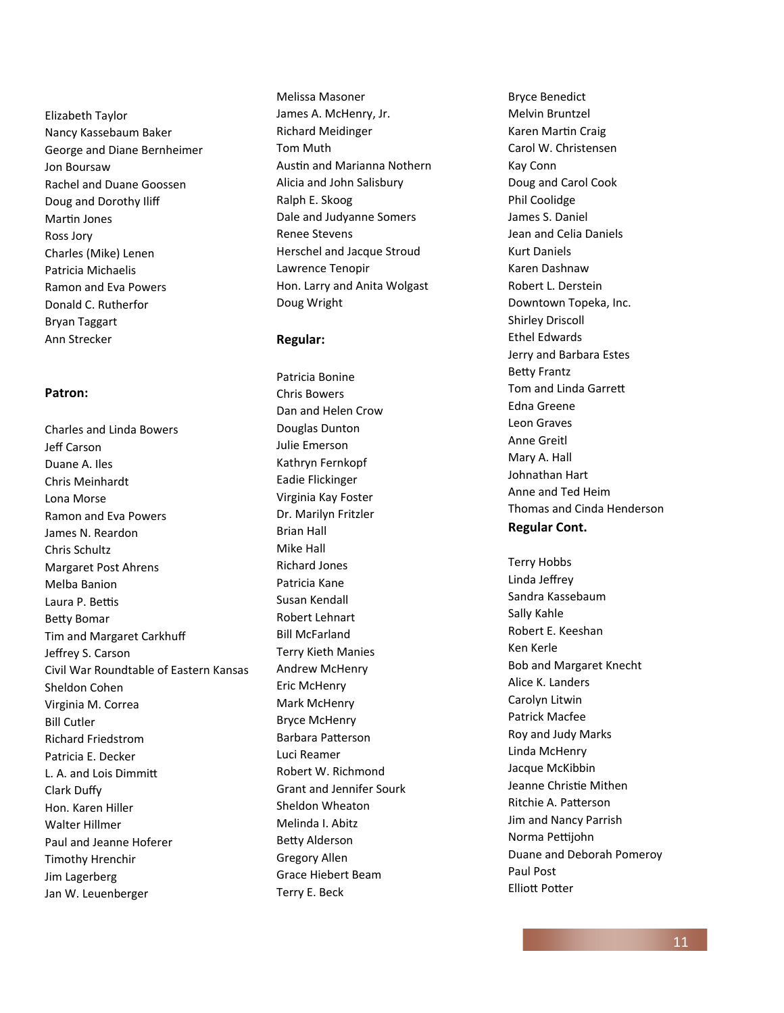Elizabeth Taylor Nancy Kassebaum Baker George and Diane Bernheimer Jon Boursaw Rachel and Duane Goossen Doug and Dorothy Iliff Martin Jones Ross Jory Charles (Mike) Lenen Patricia Michaelis Ramon and Eva Powers Donald C. Rutherfor Bryan Taggart Ann Strecker

#### **Patron:**

Charles and Linda Bowers Jeff Carson Duane A. Iles Chris Meinhardt Lona Morse Ramon and Eva Powers James N. Reardon Chris Schultz Margaret Post Ahrens Melba Banion Laura P. Bettis Betty Bomar Tim and Margaret Carkhuff Jeffrey S. Carson Civil War Roundtable of Eastern Kansas Sheldon Cohen Virginia M. Correa Bill Cutler Richard Friedstrom Patricia E. Decker L. A. and Lois Dimmitt Clark Duffy Hon. Karen Hiller Walter Hillmer Paul and Jeanne Hoferer Timothy Hrenchir Jim Lagerberg Jan W. Leuenberger

Melissa Masoner James A. McHenry, Jr. Richard Meidinger Tom Muth Austin and Marianna Nothern Alicia and John Salisbury Ralph E. Skoog Dale and Judyanne Somers Renee Stevens Herschel and Jacque Stroud Lawrence Tenopir Hon. Larry and Anita Wolgast Doug Wright

#### **Regular:**

Patricia Bonine Chris Bowers Dan and Helen Crow Douglas Dunton Julie Emerson Kathryn Fernkopf Eadie Flickinger Virginia Kay Foster Dr. Marilyn Fritzler Brian Hall Mike Hall Richard Jones Patricia Kane Susan Kendall Robert Lehnart Bill McFarland Terry Kieth Manies Andrew McHenry Eric McHenry Mark McHenry Bryce McHenry Barbara Patterson Luci Reamer Robert W. Richmond Grant and Jennifer Sourk Sheldon Wheaton Melinda I. Abitz **Betty Alderson** Gregory Allen Grace Hiebert Beam Terry E. Beck

Bryce Benedict Melvin Bruntzel Karen MarƟn Craig Carol W. Christensen Kay Conn Doug and Carol Cook Phil Coolidge James S. Daniel Jean and Celia Daniels Kurt Daniels Karen Dashnaw Robert L. Derstein Downtown Topeka, Inc. Shirley Driscoll Ethel Edwards Jerry and Barbara Estes **Betty Frantz** Tom and Linda Garrett Edna Greene Leon Graves Anne Greitl Mary A. Hall Johnathan Hart Anne and Ted Heim Thomas and Cinda Henderson **Regular Cont.** 

Terry Hobbs Linda Jeffrey Sandra Kassebaum Sally Kahle Robert E. Keeshan Ken Kerle Bob and Margaret Knecht Alice K. Landers Carolyn Litwin Patrick Macfee Roy and Judy Marks Linda McHenry Jacque McKibbin Jeanne ChrisƟe Mithen Ritchie A. Patterson Jim and Nancy Parrish Norma Peƫjohn Duane and Deborah Pomeroy Paul Post **Elliott Potter**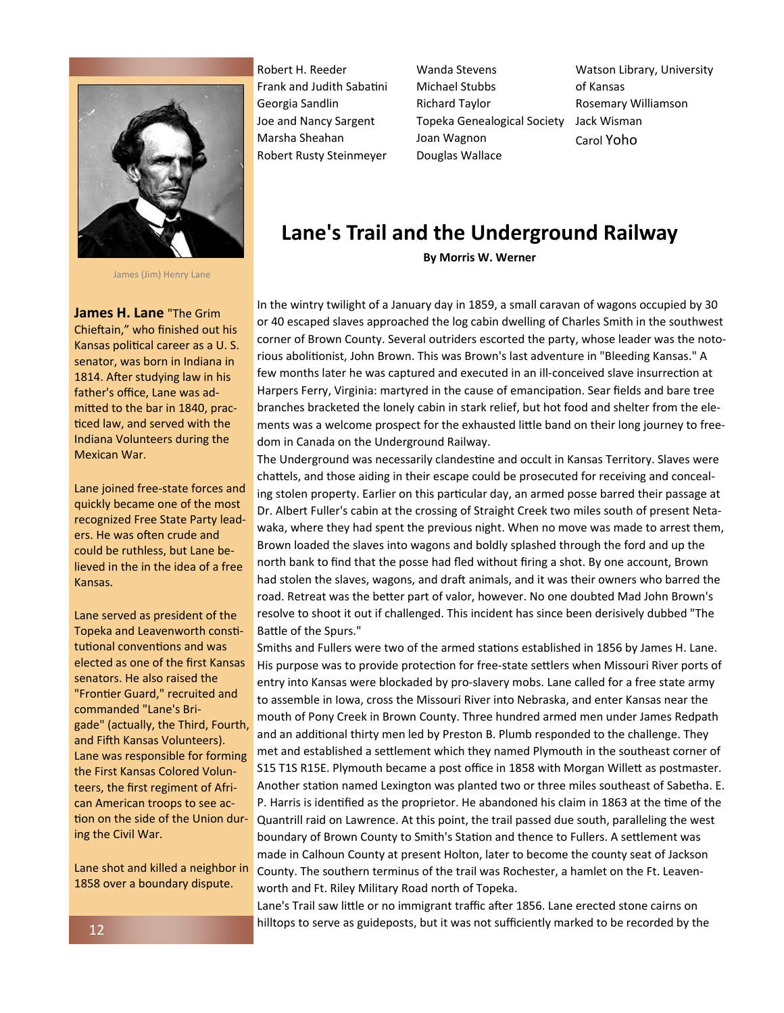

James (Jim) Henry Lane

**James H. Lane** "The Grim Chieftain," who finished out his Kansas political career as a U.S. senator, was born in Indiana in 1814. After studying law in his father's office, Lane was admitted to the bar in 1840, practiced law, and served with the Indiana Volunteers during the Mexican War.

Lane joined free-state forces and quickly became one of the most recognized Free State Party leaders. He was often crude and could be ruthless, but Lane believed in the in the idea of a free Kansas.

Lane served as president of the Topeka and Leavenworth constitutional conventions and was elected as one of the first Kansas senators. He also raised the "Frontier Guard," recruited and commanded "Lane's Brigade" (actually, the Third, Fourth, and Fifth Kansas Volunteers). Lane was responsible for forming the First Kansas Colored Volunteers, the first regiment of African American troops to see action on the side of the Union during the Civil War.

Lane shot and killed a neighbor in 1858 over a boundary dispute.

Robert H. Reeder Frank and Judith Sabatini Georgia Sandlin Joe and Nancy Sargent Marsha Sheahan Robert Rusty Steinmeyer Wanda Stevens Michael Stubbs Richard Taylor Topeka Genealogical Society Joan Wagnon Douglas Wallace

Watson Library, University of Kansas Rosemary Williamson Jack Wisman Carol Yoho

## **Lane's Trail and the Underground Railway By Morris W. Werner**

In the wintry twilight of a January day in 1859, a small caravan of wagons occupied by 30 or 40 escaped slaves approached the log cabin dwelling of Charles Smith in the southwest corner of Brown County. Several outriders escorted the party, whose leader was the notorious abolitionist, John Brown. This was Brown's last adventure in "Bleeding Kansas." A few months later he was captured and executed in an ill-conceived slave insurrection at Harpers Ferry, Virginia: martyred in the cause of emancipation. Sear fields and bare tree branches bracketed the lonely cabin in stark relief, but hot food and shelter from the elements was a welcome prospect for the exhausted little band on their long journey to freedom in Canada on the Underground Railway.

The Underground was necessarily clandestine and occult in Kansas Territory. Slaves were chattels, and those aiding in their escape could be prosecuted for receiving and concealing stolen property. Earlier on this particular day, an armed posse barred their passage at Dr. Albert Fuller's cabin at the crossing of Straight Creek two miles south of present Netawaka, where they had spent the previous night. When no move was made to arrest them, Brown loaded the slaves into wagons and boldly splashed through the ford and up the north bank to find that the posse had fled without firing a shot. By one account, Brown had stolen the slaves, wagons, and draft animals, and it was their owners who barred the road. Retreat was the better part of valor, however. No one doubted Mad John Brown's resolve to shoot it out if challenged. This incident has since been derisively dubbed "The Battle of the Spurs."

Smiths and Fullers were two of the armed stations established in 1856 by James H. Lane. His purpose was to provide protection for free-state settlers when Missouri River ports of entry into Kansas were blockaded by pro-slavery mobs. Lane called for a free state army to assemble in Iowa, cross the Missouri River into Nebraska, and enter Kansas near the mouth of Pony Creek in Brown County. Three hundred armed men under James Redpath and an additional thirty men led by Preston B. Plumb responded to the challenge. They met and established a settlement which they named Plymouth in the southeast corner of S15 T1S R15E. Plymouth became a post office in 1858 with Morgan Willett as postmaster. Another station named Lexington was planted two or three miles southeast of Sabetha. E. P. Harris is identified as the proprietor. He abandoned his claim in 1863 at the time of the Quantrill raid on Lawrence. At this point, the trail passed due south, paralleling the west boundary of Brown County to Smith's Station and thence to Fullers. A settlement was made in Calhoun County at present Holton, later to become the county seat of Jackson County. The southern terminus of the trail was Rochester, a hamlet on the Ft. Leavenworth and Ft. Riley Military Road north of Topeka.

Lane's Trail saw little or no immigrant traffic after 1856. Lane erected stone cairns on hilltops to serve as guideposts, but it was not sufficiently marked to be recorded by the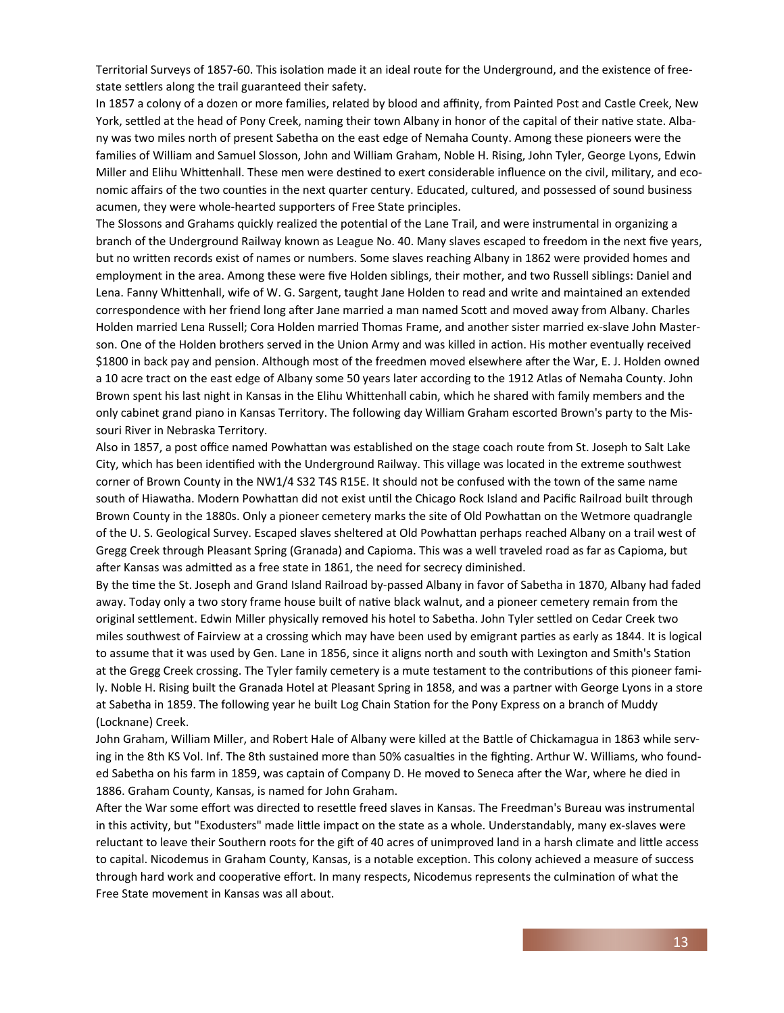Territorial Surveys of 1857-60. This isolation made it an ideal route for the Underground, and the existence of freestate settlers along the trail guaranteed their safety.

In 1857 a colony of a dozen or more families, related by blood and affinity, from Painted Post and Castle Creek, New York, settled at the head of Pony Creek, naming their town Albany in honor of the capital of their native state. Albany was two miles north of present Sabetha on the east edge of Nemaha County. Among these pioneers were the families of William and Samuel Slosson, John and William Graham, Noble H. Rising, John Tyler, George Lyons, Edwin Miller and Elihu Whittenhall. These men were destined to exert considerable influence on the civil, military, and economic affairs of the two counties in the next quarter century. Educated, cultured, and possessed of sound business acumen, they were whole-hearted supporters of Free State principles.

The Slossons and Grahams quickly realized the potential of the Lane Trail, and were instrumental in organizing a branch of the Underground Railway known as League No. 40. Many slaves escaped to freedom in the next five years, but no written records exist of names or numbers. Some slaves reaching Albany in 1862 were provided homes and employment in the area. Among these were five Holden siblings, their mother, and two Russell siblings: Daniel and Lena. Fanny Whittenhall, wife of W. G. Sargent, taught Jane Holden to read and write and maintained an extended correspondence with her friend long after Jane married a man named Scott and moved away from Albany. Charles Holden married Lena Russell; Cora Holden married Thomas Frame, and another sister married ex-slave John Masterson. One of the Holden brothers served in the Union Army and was killed in action. His mother eventually received \$1800 in back pay and pension. Although most of the freedmen moved elsewhere after the War, E. J. Holden owned a 10 acre tract on the east edge of Albany some 50 years later according to the 1912 Atlas of Nemaha County. John Brown spent his last night in Kansas in the Elihu Whittenhall cabin, which he shared with family members and the only cabinet grand piano in Kansas Territory. The following day William Graham escorted Brown's party to the Missouri River in Nebraska Territory.

Also in 1857, a post office named Powhattan was established on the stage coach route from St. Joseph to Salt Lake City, which has been identified with the Underground Railway. This village was located in the extreme southwest corner of Brown County in the NW1/4 S32 T4S R15E. It should not be confused with the town of the same name south of Hiawatha. Modern Powhattan did not exist until the Chicago Rock Island and Pacific Railroad built through Brown County in the 1880s. Only a pioneer cemetery marks the site of Old Powhattan on the Wetmore quadrangle of the U. S. Geological Survey. Escaped slaves sheltered at Old Powhattan perhaps reached Albany on a trail west of Gregg Creek through Pleasant Spring (Granada) and Capioma. This was a well traveled road as far as Capioma, but after Kansas was admitted as a free state in 1861, the need for secrecy diminished.

By the time the St. Joseph and Grand Island Railroad by-passed Albany in favor of Sabetha in 1870, Albany had faded away. Today only a two story frame house built of native black walnut, and a pioneer cemetery remain from the original settlement. Edwin Miller physically removed his hotel to Sabetha. John Tyler settled on Cedar Creek two miles southwest of Fairview at a crossing which may have been used by emigrant parties as early as 1844. It is logical to assume that it was used by Gen. Lane in 1856, since it aligns north and south with Lexington and Smith's Station at the Gregg Creek crossing. The Tyler family cemetery is a mute testament to the contributions of this pioneer family. Noble H. Rising built the Granada Hotel at Pleasant Spring in 1858, and was a partner with George Lyons in a store at Sabetha in 1859. The following year he built Log Chain Station for the Pony Express on a branch of Muddy (Locknane) Creek.

John Graham, William Miller, and Robert Hale of Albany were killed at the Battle of Chickamagua in 1863 while serving in the 8th KS Vol. Inf. The 8th sustained more than 50% casualties in the fighting. Arthur W. Williams, who founded Sabetha on his farm in 1859, was captain of Company D. He moved to Seneca after the War, where he died in 1886. Graham County, Kansas, is named for John Graham.

After the War some effort was directed to resettle freed slaves in Kansas. The Freedman's Bureau was instrumental in this activity, but "Exodusters" made little impact on the state as a whole. Understandably, many ex-slaves were reluctant to leave their Southern roots for the gift of 40 acres of unimproved land in a harsh climate and little access to capital. Nicodemus in Graham County, Kansas, is a notable exception. This colony achieved a measure of success through hard work and cooperative effort. In many respects, Nicodemus represents the culmination of what the Free State movement in Kansas was all about.